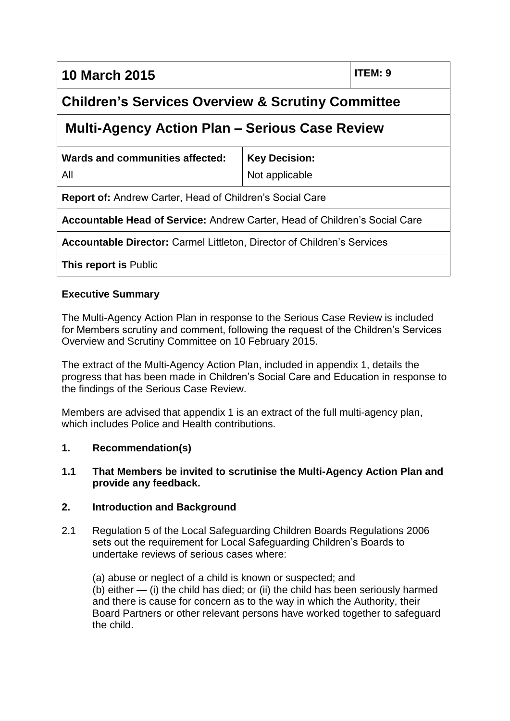**10 March 2015 ITEM: 9**

# **Children's Services Overview & Scrutiny Committee**

## **Multi-Agency Action Plan – Serious Case Review**

| Wards and communities affected:                                                   | <b>Key Decision:</b> |
|-----------------------------------------------------------------------------------|----------------------|
| All                                                                               | Not applicable       |
| <b>Report of: Andrew Carter, Head of Children's Social Care</b>                   |                      |
| <b>Accountable Head of Service: Andrew Carter, Head of Children's Social Care</b> |                      |
| <b>Accountable Director: Carmel Littleton, Director of Children's Services</b>    |                      |
| <b>This report is Public</b>                                                      |                      |

#### **Executive Summary**

The Multi-Agency Action Plan in response to the Serious Case Review is included for Members scrutiny and comment, following the request of the Children's Services Overview and Scrutiny Committee on 10 February 2015.

The extract of the Multi-Agency Action Plan, included in appendix 1, details the progress that has been made in Children's Social Care and Education in response to the findings of the Serious Case Review.

Members are advised that appendix 1 is an extract of the full multi-agency plan, which includes Police and Health contributions.

#### **1. Recommendation(s)**

#### **1.1 That Members be invited to scrutinise the Multi-Agency Action Plan and provide any feedback.**

#### **2. Introduction and Background**

2.1 Regulation 5 of the Local Safeguarding Children Boards Regulations 2006 sets out the requirement for Local Safeguarding Children's Boards to undertake reviews of serious cases where:

(a) abuse or neglect of a child is known or suspected; and (b) either — (i) the child has died; or (ii) the child has been seriously harmed and there is cause for concern as to the way in which the Authority, their Board Partners or other relevant persons have worked together to safeguard the child.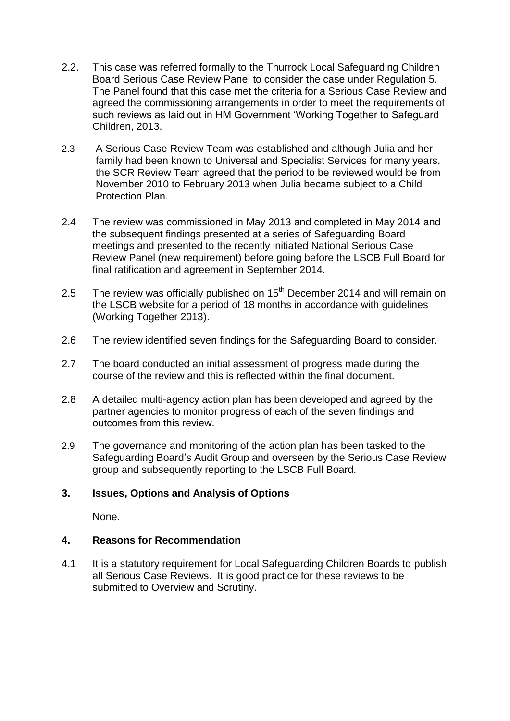- 2.2. This case was referred formally to the Thurrock Local Safeguarding Children Board Serious Case Review Panel to consider the case under Regulation 5. The Panel found that this case met the criteria for a Serious Case Review and agreed the commissioning arrangements in order to meet the requirements of such reviews as laid out in HM Government 'Working Together to Safeguard Children, 2013.
- 2.3 A Serious Case Review Team was established and although Julia and her family had been known to Universal and Specialist Services for many years, the SCR Review Team agreed that the period to be reviewed would be from November 2010 to February 2013 when Julia became subject to a Child Protection Plan.
- 2.4 The review was commissioned in May 2013 and completed in May 2014 and the subsequent findings presented at a series of Safeguarding Board meetings and presented to the recently initiated National Serious Case Review Panel (new requirement) before going before the LSCB Full Board for final ratification and agreement in September 2014.
- 2.5 The review was officially published on  $15<sup>th</sup>$  December 2014 and will remain on the LSCB website for a period of 18 months in accordance with guidelines (Working Together 2013).
- 2.6 The review identified seven findings for the Safeguarding Board to consider.
- 2.7 The board conducted an initial assessment of progress made during the course of the review and this is reflected within the final document.
- 2.8 A detailed multi-agency action plan has been developed and agreed by the partner agencies to monitor progress of each of the seven findings and outcomes from this review.
- 2.9 The governance and monitoring of the action plan has been tasked to the Safeguarding Board's Audit Group and overseen by the Serious Case Review group and subsequently reporting to the LSCB Full Board.

### **3. Issues, Options and Analysis of Options**

None.

### **4. Reasons for Recommendation**

4.1 It is a statutory requirement for Local Safeguarding Children Boards to publish all Serious Case Reviews. It is good practice for these reviews to be submitted to Overview and Scrutiny.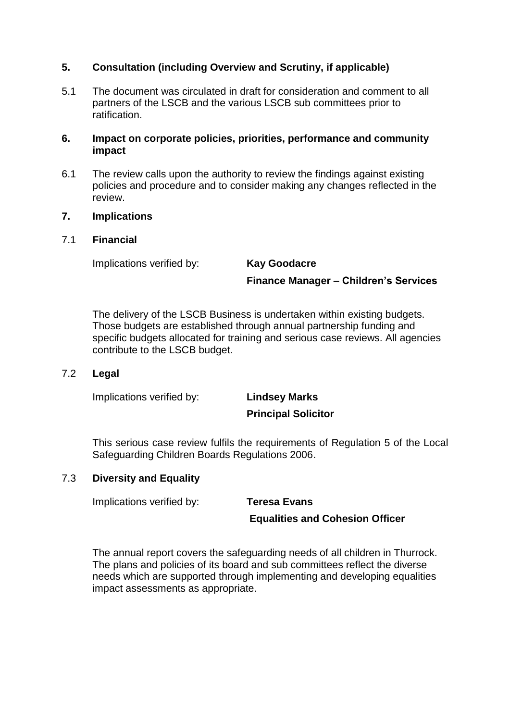#### **5. Consultation (including Overview and Scrutiny, if applicable)**

5.1 The document was circulated in draft for consideration and comment to all partners of the LSCB and the various LSCB sub committees prior to ratification.

#### **6. Impact on corporate policies, priorities, performance and community impact**

6.1 The review calls upon the authority to review the findings against existing policies and procedure and to consider making any changes reflected in the review.

#### **7. Implications**

#### 7.1 **Financial**

Implications verified by: **Kay Goodacre**

**Finance Manager – Children's Services**

The delivery of the LSCB Business is undertaken within existing budgets. Those budgets are established through annual partnership funding and specific budgets allocated for training and serious case reviews. All agencies contribute to the LSCB budget.

#### 7.2 **Legal**

Implications verified by: **Lindsey Marks**

# **Principal Solicitor**

This serious case review fulfils the requirements of Regulation 5 of the Local Safeguarding Children Boards Regulations 2006.

#### 7.3 **Diversity and Equality**

Implications verified by: **Teresa Evans**

#### **Equalities and Cohesion Officer**

The annual report covers the safeguarding needs of all children in Thurrock. The plans and policies of its board and sub committees reflect the diverse needs which are supported through implementing and developing equalities impact assessments as appropriate.